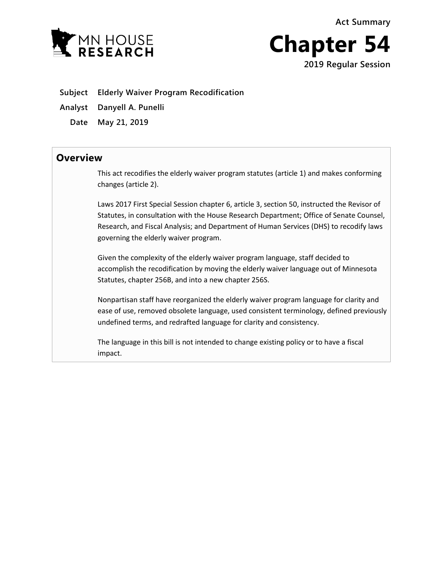**Act Summary**





**Subject Elderly Waiver Program Recodification**

**Analyst Danyell A. Punelli**

**Date May 21, 2019**

# **Overview**

This act recodifies the elderly waiver program statutes (article 1) and makes conforming changes (article 2).

Laws 2017 First Special Session chapter 6, article 3, section 50, instructed the Revisor of Statutes, in consultation with the House Research Department; Office of Senate Counsel, Research, and Fiscal Analysis; and Department of Human Services (DHS) to recodify laws governing the elderly waiver program.

Given the complexity of the elderly waiver program language, staff decided to accomplish the recodification by moving the elderly waiver language out of Minnesota Statutes, chapter 256B, and into a new chapter 256S.

Nonpartisan staff have reorganized the elderly waiver program language for clarity and ease of use, removed obsolete language, used consistent terminology, defined previously undefined terms, and redrafted language for clarity and consistency.

The language in this bill is not intended to change existing policy or to have a fiscal impact.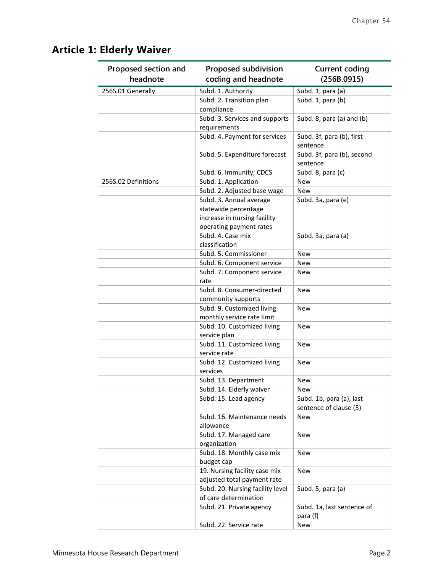# **Article 1: Elderly Waiver**

| Proposed section and<br>headnote | <b>Proposed subdivision</b><br>coding and headnote           | <b>Current coding</b><br>(256B.0915)               |
|----------------------------------|--------------------------------------------------------------|----------------------------------------------------|
| 256S.01 Generally                | Subd. 1. Authority                                           | Subd. 1, para (a)                                  |
|                                  | Subd. 2. Transition plan<br>compliance                       | Subd. 1, para (b)                                  |
|                                  | Subd. 3. Services and supports<br>requirements               | Subd. 8, para (a) and (b)                          |
|                                  | Subd. 4. Payment for services                                | Subd. 3f, para (b), first<br>sentence              |
|                                  | Subd. 5. Expenditure forecast                                | Subd. 3f, para (b), second<br>sentence             |
|                                  | Subd. 6. Immunity; CDCS                                      | Subd. 8, para (c)                                  |
| 256S.02 Definitions              | Subd. 1. Application                                         | <b>New</b>                                         |
|                                  | Subd. 2. Adjusted base wage                                  | <b>New</b>                                         |
|                                  | Subd. 3. Annual average<br>statewide percentage              | Subd. 3a, para (e)                                 |
|                                  | increase in nursing facility<br>operating payment rates      |                                                    |
|                                  | Subd. 4. Case mix<br>classification                          | Subd. 3a, para (a)                                 |
|                                  | Subd. 5. Commissioner                                        | <b>New</b>                                         |
|                                  | Subd. 6. Component service                                   | <b>New</b>                                         |
|                                  | Subd. 7. Component service<br>rate                           | New                                                |
|                                  | Subd. 8. Consumer-directed<br>community supports             | <b>New</b>                                         |
|                                  | Subd. 9. Customized living<br>monthly service rate limit     | <b>New</b>                                         |
|                                  | Subd. 10. Customized living<br>service plan                  | <b>New</b>                                         |
|                                  | Subd. 11. Customized living<br>service rate                  | <b>New</b>                                         |
|                                  | Subd. 12. Customized living<br>services                      | <b>New</b>                                         |
|                                  | Subd. 13. Department                                         | <b>New</b>                                         |
|                                  | Subd. 14. Elderly waiver                                     | <b>New</b>                                         |
|                                  | Subd. 15. Lead agency                                        | Subd. 1b, para (a), last<br>sentence of clause (5) |
|                                  | Subd. 16. Maintenance needs<br>allowance                     | New                                                |
|                                  | Subd. 17. Managed care<br>organization                       | <b>New</b>                                         |
|                                  | Subd. 18. Monthly case mix<br>budget cap                     | <b>New</b>                                         |
|                                  | 19. Nursing facility case mix<br>adjusted total payment rate | <b>New</b>                                         |
|                                  | Subd. 20. Nursing facility level<br>of care determination    | Subd. 5, para (a)                                  |
|                                  | Subd. 21. Private agency                                     | Subd. 1a, last sentence of                         |
|                                  | Subd. 22. Service rate                                       | para (f)<br><b>New</b>                             |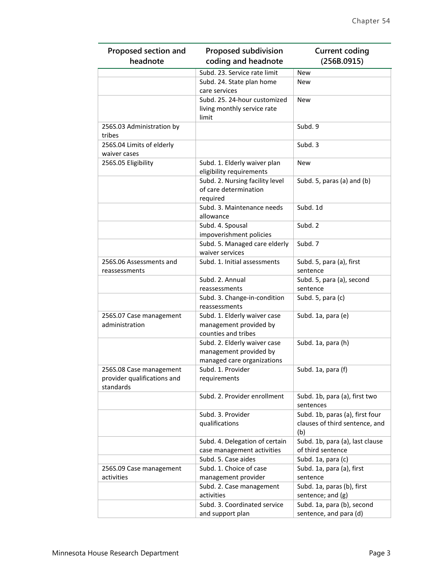| Proposed section and        | <b>Proposed subdivision</b>     | <b>Current coding</b>           |
|-----------------------------|---------------------------------|---------------------------------|
| headnote                    | coding and headnote             | (256B.0915)                     |
|                             | Subd. 23. Service rate limit    | <b>New</b>                      |
|                             | Subd. 24. State plan home       | New                             |
|                             | care services                   |                                 |
|                             | Subd. 25. 24-hour customized    | <b>New</b>                      |
|                             | living monthly service rate     |                                 |
|                             | limit                           |                                 |
| 256S.03 Administration by   |                                 | Subd. 9                         |
| tribes                      |                                 |                                 |
| 256S.04 Limits of elderly   |                                 | Subd. 3                         |
| waiver cases                |                                 |                                 |
| 256S.05 Eligibility         | Subd. 1. Elderly waiver plan    | <b>New</b>                      |
|                             | eligibility requirements        |                                 |
|                             | Subd. 2. Nursing facility level | Subd. 5, paras (a) and (b)      |
|                             | of care determination           |                                 |
|                             | required                        |                                 |
|                             | Subd. 3. Maintenance needs      | Subd. 1d                        |
|                             | allowance                       |                                 |
|                             | Subd. 4. Spousal                | Subd. 2                         |
|                             | impoverishment policies         |                                 |
|                             | Subd. 5. Managed care elderly   | Subd. 7                         |
|                             | waiver services                 |                                 |
| 256S.06 Assessments and     | Subd. 1. Initial assessments    | Subd. 5, para (a), first        |
| reassessments               |                                 | sentence                        |
|                             | Subd. 2. Annual                 | Subd. 5, para (a), second       |
|                             | reassessments                   | sentence                        |
|                             | Subd. 3. Change-in-condition    | Subd. 5, para (c)               |
|                             | reassessments                   |                                 |
| 256S.07 Case management     | Subd. 1. Elderly waiver case    | Subd. 1a, para (e)              |
| administration              | management provided by          |                                 |
|                             | counties and tribes             |                                 |
|                             | Subd. 2. Elderly waiver case    | Subd. 1a, para (h)              |
|                             | management provided by          |                                 |
|                             | managed care organizations      |                                 |
| 256S.08 Case management     | Subd. 1. Provider               | Subd. 1a, para (f)              |
| provider qualifications and | requirements                    |                                 |
| standards                   |                                 |                                 |
|                             | Subd. 2. Provider enrollment    | Subd. 1b, para (a), first two   |
|                             |                                 | sentences                       |
|                             | Subd. 3. Provider               | Subd. 1b, paras (a), first four |
|                             | qualifications                  | clauses of third sentence, and  |
|                             |                                 | (b)                             |
|                             | Subd. 4. Delegation of certain  | Subd. 1b, para (a), last clause |
|                             | case management activities      | of third sentence               |
|                             | Subd. 5. Case aides             | Subd. 1a, para (c)              |
| 256S.09 Case management     | Subd. 1. Choice of case         | Subd. 1a, para (a), first       |
| activities                  | management provider             | sentence                        |
|                             | Subd. 2. Case management        | Subd. 1a, paras (b), first      |
|                             | activities                      | sentence; and (g)               |
|                             | Subd. 3. Coordinated service    | Subd. 1a, para (b), second      |
|                             | and support plan                | sentence, and para (d)          |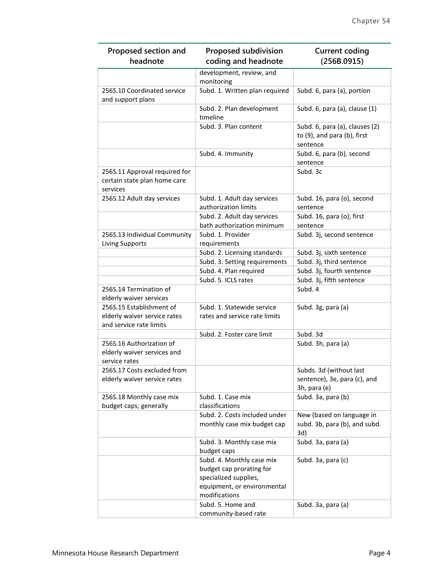| Proposed section and                                                      | <b>Proposed subdivision</b>                                                                                                    | <b>Current coding</b>                                                     |
|---------------------------------------------------------------------------|--------------------------------------------------------------------------------------------------------------------------------|---------------------------------------------------------------------------|
| headnote                                                                  | coding and headnote                                                                                                            | (256B.0915)                                                               |
|                                                                           | development, review, and<br>monitoring                                                                                         |                                                                           |
| 256S.10 Coordinated service<br>and support plans                          | Subd. 1. Written plan required                                                                                                 | Subd. 6, para (a), portion                                                |
|                                                                           | Subd. 2. Plan development<br>timeline                                                                                          | Subd. 6, para (a), clause (1)                                             |
|                                                                           | Subd. 3. Plan content                                                                                                          | Subd. 6, para (a), clauses (2)<br>to (9), and para (b), first<br>sentence |
|                                                                           | Subd. 4. Immunity                                                                                                              | Subd. 6, para (b), second<br>sentence                                     |
| 256S.11 Approval required for<br>certain state plan home care<br>services |                                                                                                                                | Subd. 3c                                                                  |
| 256S.12 Adult day services                                                | Subd. 1. Adult day services                                                                                                    | Subd. 16, para (o), second                                                |
|                                                                           | authorization limits                                                                                                           | sentence                                                                  |
|                                                                           | Subd. 2. Adult day services                                                                                                    | Subd. 16, para (o), first                                                 |
| 256S.13 Individual Community                                              | bath authorization minimum<br>Subd. 1. Provider                                                                                | sentence<br>Subd. 3j, second sentence                                     |
| <b>Living Supports</b>                                                    | requirements                                                                                                                   |                                                                           |
|                                                                           | Subd. 2. Licensing standards                                                                                                   | Subd. 3j, sixth sentence                                                  |
|                                                                           | Subd. 3. Setting requirements                                                                                                  | Subd. 3j, third sentence                                                  |
|                                                                           | Subd. 4. Plan required                                                                                                         | Subd. 3j, fourth sentence                                                 |
|                                                                           | Subd. 5. ICLS rates                                                                                                            | Subd. 3j, fifth sentence                                                  |
| 256S.14 Termination of<br>elderly waiver services                         |                                                                                                                                | Subd. 4                                                                   |
| 256S.15 Establishment of                                                  | Subd. 1. Statewide service                                                                                                     | Subd. 3g, para (a)                                                        |
| elderly waiver service rates<br>and service rate limits                   | rates and service rate limits                                                                                                  |                                                                           |
|                                                                           | Subd. 2. Foster care limit                                                                                                     | Subd. 3d                                                                  |
| 256S.16 Authorization of<br>elderly waiver services and<br>service rates  |                                                                                                                                | Subd. 3h, para (a)                                                        |
| 256S.17 Costs excluded from                                               |                                                                                                                                | Subds. 3d (without last                                                   |
| elderly waiver service rates                                              |                                                                                                                                | sentence), 3e, para (c), and                                              |
|                                                                           |                                                                                                                                | 3h, para (e)                                                              |
| 256S.18 Monthly case mix                                                  | Subd. 1. Case mix                                                                                                              | Subd. 3a, para (b)                                                        |
| budget caps; generally                                                    | classifications                                                                                                                |                                                                           |
|                                                                           | Subd. 2. Costs included under<br>monthly case mix budget cap                                                                   | New (based on language in<br>subd. 3b, para (b), and subd.<br>3d)         |
|                                                                           | Subd. 3. Monthly case mix<br>budget caps                                                                                       | Subd. 3a, para (a)                                                        |
|                                                                           | Subd. 4. Monthly case mix<br>budget cap prorating for<br>specialized supplies,<br>equipment, or environmental<br>modifications | Subd. 3a, para (c)                                                        |
|                                                                           | Subd. 5. Home and<br>community-based rate                                                                                      | Subd. 3a, para (a)                                                        |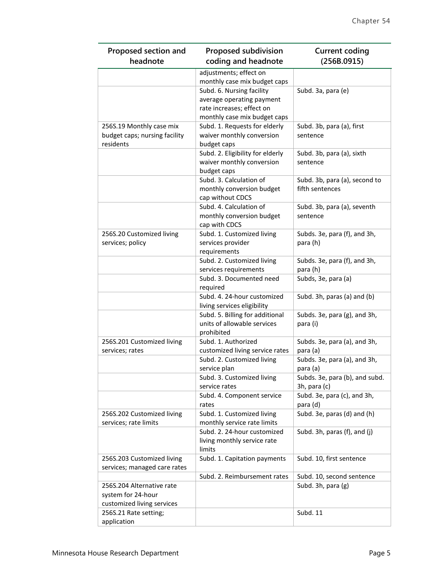| Proposed section and                                      | <b>Proposed subdivision</b>                                   | <b>Current coding</b>                    |
|-----------------------------------------------------------|---------------------------------------------------------------|------------------------------------------|
| headnote                                                  | coding and headnote                                           | (256B.0915)                              |
|                                                           | adjustments; effect on                                        |                                          |
|                                                           | monthly case mix budget caps                                  |                                          |
|                                                           | Subd. 6. Nursing facility                                     | Subd. 3a, para (e)                       |
|                                                           | average operating payment                                     |                                          |
|                                                           | rate increases; effect on                                     |                                          |
|                                                           | monthly case mix budget caps<br>Subd. 1. Requests for elderly |                                          |
| 256S.19 Monthly case mix<br>budget caps; nursing facility | waiver monthly conversion                                     | Subd. 3b, para (a), first<br>sentence    |
| residents                                                 | budget caps                                                   |                                          |
|                                                           | Subd. 2. Eligibility for elderly                              | Subd. 3b, para (a), sixth                |
|                                                           | waiver monthly conversion                                     | sentence                                 |
|                                                           | budget caps                                                   |                                          |
|                                                           | Subd. 3. Calculation of                                       | Subd. 3b, para (a), second to            |
|                                                           | monthly conversion budget                                     | fifth sentences                          |
|                                                           | cap without CDCS                                              |                                          |
|                                                           | Subd. 4. Calculation of                                       | Subd. 3b, para (a), seventh              |
|                                                           | monthly conversion budget                                     | sentence                                 |
|                                                           | cap with CDCS<br>Subd. 1. Customized living                   |                                          |
| 256S.20 Customized living<br>services; policy             | services provider                                             | Subds. 3e, para (f), and 3h,<br>para (h) |
|                                                           | requirements                                                  |                                          |
|                                                           | Subd. 2. Customized living                                    | Subds. 3e, para (f), and 3h,             |
|                                                           | services requirements                                         | para (h)                                 |
|                                                           | Subd. 3. Documented need                                      | Subds, 3e, para (a)                      |
|                                                           | required                                                      |                                          |
|                                                           | Subd. 4. 24-hour customized                                   | Subd. 3h, paras (a) and (b)              |
|                                                           | living services eligibility                                   |                                          |
|                                                           | Subd. 5. Billing for additional                               | Subds. 3e, para (g), and 3h,             |
|                                                           | units of allowable services                                   | para (i)                                 |
| 256S.201 Customized living                                | prohibited<br>Subd. 1. Authorized                             | Subds. 3e, para (a), and 3h,             |
| services; rates                                           | customized living service rates                               | para (a)                                 |
|                                                           | Subd. 2. Customized living                                    | Subds. 3e, para (a), and 3h,             |
|                                                           | service plan                                                  | para (a)                                 |
|                                                           | Subd. 3. Customized living                                    | Subds. 3e, para (b), and subd.           |
|                                                           | service rates                                                 | 3h, para (c)                             |
|                                                           | Subd. 4. Component service                                    | Subd. 3e, para (c), and 3h,              |
|                                                           | rates                                                         | para (d)                                 |
| 256S.202 Customized living                                | Subd. 1. Customized living                                    | Subd. 3e, paras (d) and (h)              |
| services; rate limits                                     | monthly service rate limits                                   |                                          |
|                                                           | Subd. 2. 24-hour customized<br>living monthly service rate    | Subd. 3h, paras (f), and (j)             |
|                                                           | limits                                                        |                                          |
| 256S.203 Customized living                                | Subd. 1. Capitation payments                                  | Subd. 10, first sentence                 |
| services; managed care rates                              |                                                               |                                          |
|                                                           | Subd. 2. Reimbursement rates                                  | Subd. 10, second sentence                |
| 256S.204 Alternative rate                                 |                                                               | Subd. 3h, para (g)                       |
| system for 24-hour                                        |                                                               |                                          |
| customized living services                                |                                                               |                                          |
| 256S.21 Rate setting;                                     |                                                               | Subd. 11                                 |
| application                                               |                                                               |                                          |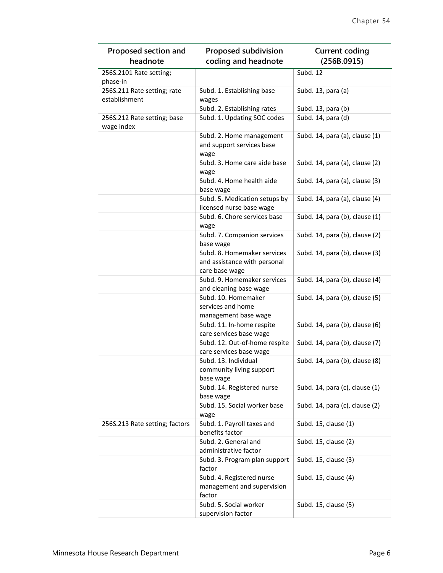| Proposed section and           | <b>Proposed subdivision</b>                               | <b>Current coding</b>          |
|--------------------------------|-----------------------------------------------------------|--------------------------------|
| headnote                       | coding and headnote                                       | (256B.0915)                    |
| 256S.2101 Rate setting;        |                                                           | Subd. 12                       |
| phase-in                       |                                                           |                                |
| 256S.211 Rate setting; rate    | Subd. 1. Establishing base                                | Subd. 13, para (a)             |
| establishment                  | wages                                                     |                                |
|                                | Subd. 2. Establishing rates                               | Subd. 13, para (b)             |
| 256S.212 Rate setting; base    | Subd. 1. Updating SOC codes                               | Subd. 14, para (d)             |
| wage index                     |                                                           |                                |
|                                | Subd. 2. Home management                                  | Subd. 14, para (a), clause (1) |
|                                | and support services base                                 |                                |
|                                | wage                                                      |                                |
|                                | Subd. 3. Home care aide base                              | Subd. 14, para (a), clause (2) |
|                                | wage                                                      |                                |
|                                | Subd. 4. Home health aide                                 | Subd. 14, para (a), clause (3) |
|                                | base wage                                                 |                                |
|                                | Subd. 5. Medication setups by<br>licensed nurse base wage | Subd. 14, para (a), clause (4) |
|                                | Subd. 6. Chore services base                              |                                |
|                                | wage                                                      | Subd. 14, para (b), clause (1) |
|                                | Subd. 7. Companion services                               | Subd. 14, para (b), clause (2) |
|                                | base wage                                                 |                                |
|                                | Subd. 8. Homemaker services                               | Subd. 14, para (b), clause (3) |
|                                | and assistance with personal                              |                                |
|                                | care base wage                                            |                                |
|                                | Subd. 9. Homemaker services                               | Subd. 14, para (b), clause (4) |
|                                | and cleaning base wage                                    |                                |
|                                | Subd. 10. Homemaker                                       | Subd. 14, para (b), clause (5) |
|                                | services and home                                         |                                |
|                                | management base wage                                      |                                |
|                                | Subd. 11. In-home respite                                 | Subd. 14, para (b), clause (6) |
|                                | care services base wage                                   |                                |
|                                | Subd. 12. Out-of-home respite                             | Subd. 14, para (b), clause (7) |
|                                | care services base wage                                   |                                |
|                                | Subd. 13. Individual                                      | Subd. 14, para (b), clause (8) |
|                                | community living support                                  |                                |
|                                | base wage<br>Subd. 14. Registered nurse                   | Subd. 14, para (c), clause (1) |
|                                | base wage                                                 |                                |
|                                | Subd. 15. Social worker base                              | Subd. 14, para (c), clause (2) |
|                                | wage                                                      |                                |
| 256S.213 Rate setting; factors | Subd. 1. Payroll taxes and                                | Subd. 15, clause (1)           |
|                                | benefits factor                                           |                                |
|                                | Subd. 2. General and                                      | Subd. 15, clause (2)           |
|                                | administrative factor                                     |                                |
|                                | Subd. 3. Program plan support                             | Subd. 15, clause (3)           |
|                                | factor                                                    |                                |
|                                | Subd. 4. Registered nurse                                 | Subd. 15, clause (4)           |
|                                | management and supervision                                |                                |
|                                | factor                                                    |                                |
|                                | Subd. 5. Social worker                                    | Subd. 15, clause (5)           |
|                                | supervision factor                                        |                                |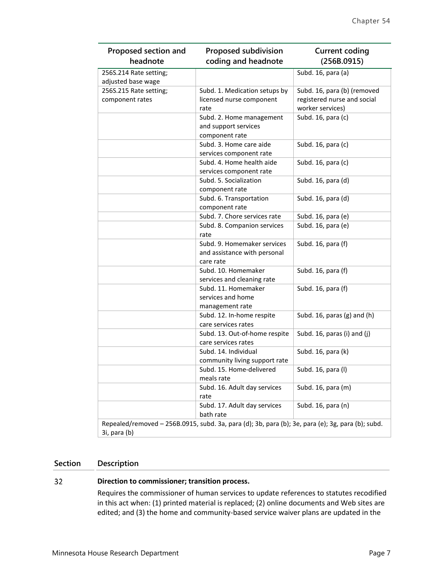| Proposed section and   | <b>Proposed subdivision</b>                                                                       | <b>Current coding</b>           |
|------------------------|---------------------------------------------------------------------------------------------------|---------------------------------|
| headnote               | coding and headnote                                                                               | (256B.0915)                     |
| 256S.214 Rate setting; |                                                                                                   | Subd. 16, para (a)              |
| adjusted base wage     |                                                                                                   |                                 |
| 256S.215 Rate setting; | Subd. 1. Medication setups by                                                                     | Subd. 16, para (b) (removed     |
| component rates        | licensed nurse component                                                                          | registered nurse and social     |
|                        | rate                                                                                              | worker services)                |
|                        | Subd. 2. Home management                                                                          | Subd. 16, para (c)              |
|                        | and support services                                                                              |                                 |
|                        | component rate                                                                                    |                                 |
|                        | Subd. 3. Home care aide                                                                           | Subd. 16, para (c)              |
|                        | services component rate                                                                           |                                 |
|                        | Subd. 4. Home health aide                                                                         | Subd. 16, para (c)              |
|                        | services component rate                                                                           |                                 |
|                        | Subd. 5. Socialization                                                                            | Subd. 16, para (d)              |
|                        | component rate                                                                                    |                                 |
|                        | Subd. 6. Transportation                                                                           | Subd. 16, para (d)              |
|                        | component rate                                                                                    |                                 |
|                        | Subd. 7. Chore services rate                                                                      | Subd. 16, para (e)              |
|                        | Subd. 8. Companion services                                                                       | Subd. 16, para (e)              |
|                        | rate                                                                                              |                                 |
|                        | Subd. 9. Homemaker services                                                                       | Subd. 16, para (f)              |
|                        | and assistance with personal                                                                      |                                 |
|                        | care rate                                                                                         |                                 |
|                        | Subd. 10. Homemaker                                                                               | Subd. 16, para (f)              |
|                        | services and cleaning rate                                                                        |                                 |
|                        | Subd. 11. Homemaker                                                                               | Subd. 16, para (f)              |
|                        | services and home                                                                                 |                                 |
|                        | management rate                                                                                   |                                 |
|                        | Subd. 12. In-home respite                                                                         | Subd. 16, paras $(g)$ and $(h)$ |
|                        | care services rates                                                                               |                                 |
|                        | Subd. 13. Out-of-home respite                                                                     | Subd. 16, paras (i) and (j)     |
|                        | care services rates                                                                               |                                 |
|                        | Subd. 14. Individual                                                                              | Subd. 16, para (k)              |
|                        | community living support rate                                                                     |                                 |
|                        | Subd. 15. Home-delivered                                                                          | Subd. 16, para (I)              |
|                        | meals rate                                                                                        |                                 |
|                        | Subd. 16. Adult day services                                                                      | Subd. 16, para (m)              |
|                        | rate                                                                                              |                                 |
|                        | Subd. 17. Adult day services                                                                      | Subd. 16, para (n)              |
|                        | bath rate                                                                                         |                                 |
|                        | Repealed/removed - 256B.0915, subd. 3a, para (d); 3b, para (b); 3e, para (e); 3g, para (b); subd. |                                 |
| 3i, para (b)           |                                                                                                   |                                 |

#### 32 **Direction to commissioner; transition process.**

Requires the commissioner of human services to update references to statutes recodified in this act when: (1) printed material is replaced; (2) online documents and Web sites are edited; and (3) the home and community-based service waiver plans are updated in the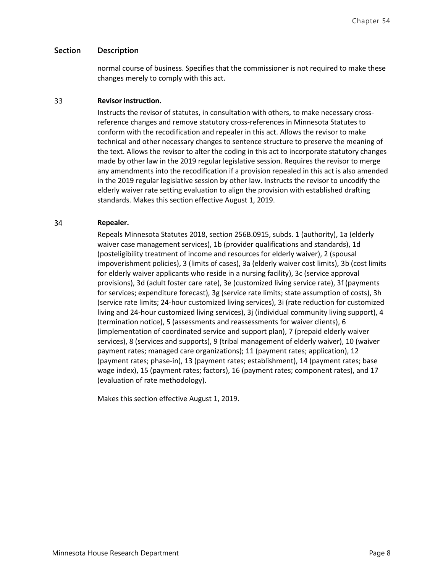normal course of business. Specifies that the commissioner is not required to make these changes merely to comply with this act.

#### 33 **Revisor instruction.**

Instructs the revisor of statutes, in consultation with others, to make necessary crossreference changes and remove statutory cross-references in Minnesota Statutes to conform with the recodification and repealer in this act. Allows the revisor to make technical and other necessary changes to sentence structure to preserve the meaning of the text. Allows the revisor to alter the coding in this act to incorporate statutory changes made by other law in the 2019 regular legislative session. Requires the revisor to merge any amendments into the recodification if a provision repealed in this act is also amended in the 2019 regular legislative session by other law. Instructs the revisor to uncodify the elderly waiver rate setting evaluation to align the provision with established drafting standards. Makes this section effective August 1, 2019.

#### 34 **Repealer.**

Repeals Minnesota Statutes 2018, section 256B.0915, subds. 1 (authority), 1a (elderly waiver case management services), 1b (provider qualifications and standards), 1d (posteligibility treatment of income and resources for elderly waiver), 2 (spousal impoverishment policies), 3 (limits of cases), 3a (elderly waiver cost limits), 3b (cost limits for elderly waiver applicants who reside in a nursing facility), 3c (service approval provisions), 3d (adult foster care rate), 3e (customized living service rate), 3f (payments for services; expenditure forecast), 3g (service rate limits; state assumption of costs), 3h (service rate limits; 24-hour customized living services), 3i (rate reduction for customized living and 24-hour customized living services), 3j (individual community living support), 4 (termination notice), 5 (assessments and reassessments for waiver clients), 6 (implementation of coordinated service and support plan), 7 (prepaid elderly waiver services), 8 (services and supports), 9 (tribal management of elderly waiver), 10 (waiver payment rates; managed care organizations); 11 (payment rates; application), 12 (payment rates; phase-in), 13 (payment rates; establishment), 14 (payment rates; base wage index), 15 (payment rates; factors), 16 (payment rates; component rates), and 17 (evaluation of rate methodology).

Makes this section effective August 1, 2019.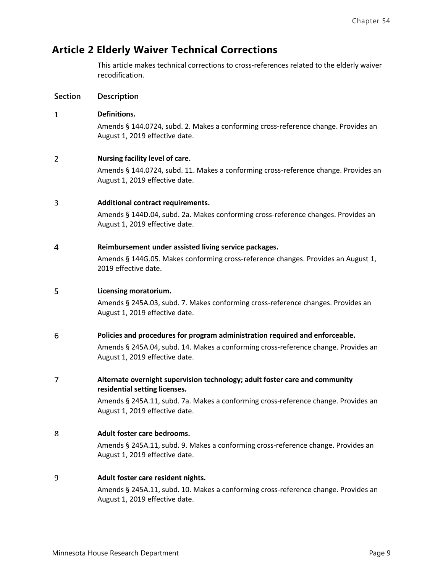# **Article 2 Elderly Waiver Technical Corrections**

This article makes technical corrections to cross-references related to the elderly waiver recodification.

| <b>Section</b> | Description                                                                                                           |
|----------------|-----------------------------------------------------------------------------------------------------------------------|
| $\mathbf{1}$   | Definitions.                                                                                                          |
|                | Amends § 144.0724, subd. 2. Makes a conforming cross-reference change. Provides an<br>August 1, 2019 effective date.  |
| 2              | Nursing facility level of care.                                                                                       |
|                | Amends § 144.0724, subd. 11. Makes a conforming cross-reference change. Provides an<br>August 1, 2019 effective date. |
| 3              | <b>Additional contract requirements.</b>                                                                              |
|                | Amends § 144D.04, subd. 2a. Makes conforming cross-reference changes. Provides an<br>August 1, 2019 effective date.   |
| 4              | Reimbursement under assisted living service packages.                                                                 |
|                | Amends § 144G.05. Makes conforming cross-reference changes. Provides an August 1,<br>2019 effective date.             |
| 5              | Licensing moratorium.                                                                                                 |
|                | Amends § 245A.03, subd. 7. Makes conforming cross-reference changes. Provides an<br>August 1, 2019 effective date.    |
| 6              | Policies and procedures for program administration required and enforceable.                                          |
|                | Amends § 245A.04, subd. 14. Makes a conforming cross-reference change. Provides an<br>August 1, 2019 effective date.  |
| 7              | Alternate overnight supervision technology; adult foster care and community<br>residential setting licenses.          |
|                | Amends § 245A.11, subd. 7a. Makes a conforming cross-reference change. Provides an<br>August 1, 2019 effective date.  |
| 8              | Adult foster care bedrooms.                                                                                           |
|                | Amends § 245A.11, subd. 9. Makes a conforming cross-reference change. Provides an<br>August 1, 2019 effective date.   |
| 9              | Adult foster care resident nights.                                                                                    |
|                | Amends § 245A.11, subd. 10. Makes a conforming cross-reference change. Provides an<br>August 1, 2019 effective date.  |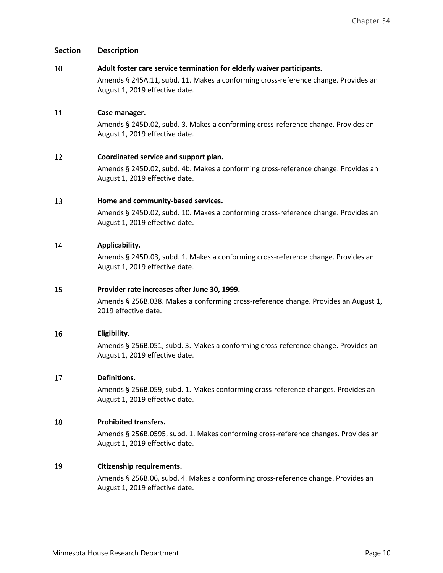| Section | Description |
|---------|-------------|
|         |             |

| <b>SECUOII</b> | Description                                                                                                          |
|----------------|----------------------------------------------------------------------------------------------------------------------|
| 10             | Adult foster care service termination for elderly waiver participants.                                               |
|                | Amends § 245A.11, subd. 11. Makes a conforming cross-reference change. Provides an                                   |
|                | August 1, 2019 effective date.                                                                                       |
| 11             | Case manager.                                                                                                        |
|                | Amends § 245D.02, subd. 3. Makes a conforming cross-reference change. Provides an<br>August 1, 2019 effective date.  |
| 12             | Coordinated service and support plan.                                                                                |
|                | Amends § 245D.02, subd. 4b. Makes a conforming cross-reference change. Provides an                                   |
|                | August 1, 2019 effective date.                                                                                       |
| 13             | Home and community-based services.                                                                                   |
|                | Amends § 245D.02, subd. 10. Makes a conforming cross-reference change. Provides an                                   |
|                | August 1, 2019 effective date.                                                                                       |
| 14             | Applicability.                                                                                                       |
|                | Amends § 245D.03, subd. 1. Makes a conforming cross-reference change. Provides an<br>August 1, 2019 effective date.  |
|                |                                                                                                                      |
| 15             | Provider rate increases after June 30, 1999.                                                                         |
|                | Amends § 256B.038. Makes a conforming cross-reference change. Provides an August 1,<br>2019 effective date.          |
|                |                                                                                                                      |
| 16             | Eligibility.                                                                                                         |
|                | Amends § 256B.051, subd. 3. Makes a conforming cross-reference change. Provides an<br>August 1, 2019 effective date. |
|                |                                                                                                                      |
| 17             | Definitions.                                                                                                         |
|                | Amends § 256B.059, subd. 1. Makes conforming cross-reference changes. Provides an<br>August 1, 2019 effective date.  |
| 18             | <b>Prohibited transfers.</b>                                                                                         |
|                | Amends § 256B.0595, subd. 1. Makes conforming cross-reference changes. Provides an<br>August 1, 2019 effective date. |

#### 19 **Citizenship requirements.**

Amends § 256B.06, subd. 4. Makes a conforming cross-reference change. Provides an August 1, 2019 effective date.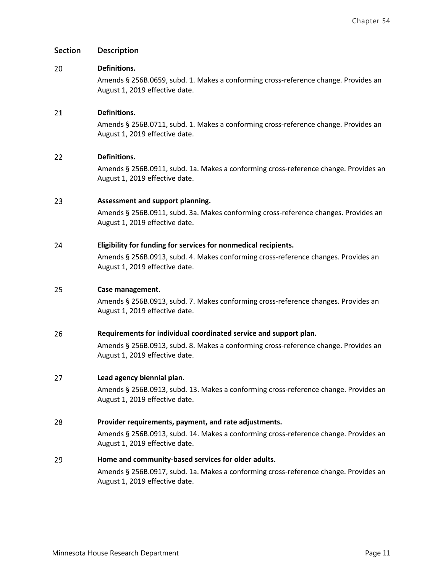#### 20 **Definitions.**

Amends § 256B.0659, subd. 1. Makes a conforming cross-reference change. Provides an August 1, 2019 effective date.

#### 21 **Definitions.**

Amends § 256B.0711, subd. 1. Makes a conforming cross-reference change. Provides an August 1, 2019 effective date.

#### 22 **Definitions.**

Amends § 256B.0911, subd. 1a. Makes a conforming cross-reference change. Provides an August 1, 2019 effective date.

#### 23 **Assessment and support planning.**

Amends § 256B.0911, subd. 3a. Makes conforming cross-reference changes. Provides an August 1, 2019 effective date.

#### 24 **Eligibility for funding for services for nonmedical recipients.**

Amends § 256B.0913, subd. 4. Makes conforming cross-reference changes. Provides an August 1, 2019 effective date.

#### 25 **Case management.**

Amends § 256B.0913, subd. 7. Makes conforming cross-reference changes. Provides an August 1, 2019 effective date.

#### 26 **Requirements for individual coordinated service and support plan.**

Amends § 256B.0913, subd. 8. Makes a conforming cross-reference change. Provides an August 1, 2019 effective date.

#### 27 **Lead agency biennial plan.**

Amends § 256B.0913, subd. 13. Makes a conforming cross-reference change. Provides an August 1, 2019 effective date.

#### 28 **Provider requirements, payment, and rate adjustments.**

Amends § 256B.0913, subd. 14. Makes a conforming cross-reference change. Provides an August 1, 2019 effective date.

#### 29 **Home and community-based services for older adults.**

Amends § 256B.0917, subd. 1a. Makes a conforming cross-reference change. Provides an August 1, 2019 effective date.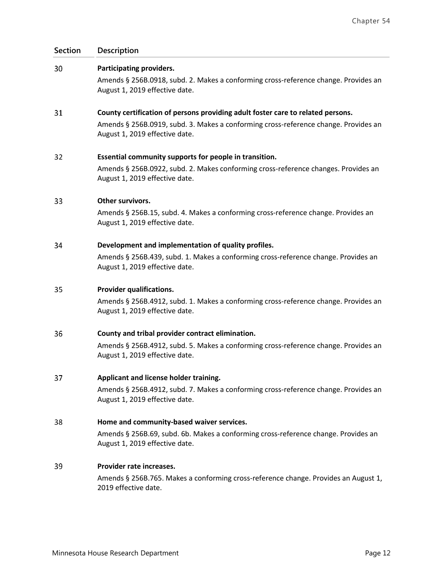| <b>Section</b> | Description                                                                                                           |
|----------------|-----------------------------------------------------------------------------------------------------------------------|
| 30             | Participating providers.                                                                                              |
|                | Amends § 256B.0918, subd. 2. Makes a conforming cross-reference change. Provides an<br>August 1, 2019 effective date. |
| 31             | County certification of persons providing adult foster care to related persons.                                       |
|                | Amends § 256B.0919, subd. 3. Makes a conforming cross-reference change. Provides an<br>August 1, 2019 effective date. |
| 32             | Essential community supports for people in transition.                                                                |
|                | Amends § 256B.0922, subd. 2. Makes conforming cross-reference changes. Provides an<br>August 1, 2019 effective date.  |
| 33             | Other survivors.                                                                                                      |
|                | Amends § 256B.15, subd. 4. Makes a conforming cross-reference change. Provides an<br>August 1, 2019 effective date.   |
| 34             | Development and implementation of quality profiles.                                                                   |
|                | Amends § 256B.439, subd. 1. Makes a conforming cross-reference change. Provides an<br>August 1, 2019 effective date.  |
| 35             | Provider qualifications.                                                                                              |
|                | Amends § 256B.4912, subd. 1. Makes a conforming cross-reference change. Provides an<br>August 1, 2019 effective date. |
| 36             | County and tribal provider contract elimination.                                                                      |
|                | Amends § 256B.4912, subd. 5. Makes a conforming cross-reference change. Provides an<br>August 1, 2019 effective date. |
| 37             | Applicant and license holder training.                                                                                |
|                | Amends § 256B.4912, subd. 7. Makes a conforming cross-reference change. Provides an<br>August 1, 2019 effective date. |
| 38             | Home and community-based waiver services.                                                                             |
|                | Amends § 256B.69, subd. 6b. Makes a conforming cross-reference change. Provides an<br>August 1, 2019 effective date.  |
| 39             | Provider rate increases.                                                                                              |
|                | Amends § 256B.765. Makes a conforming cross-reference change. Provides an August 1,<br>2019 effective date.           |